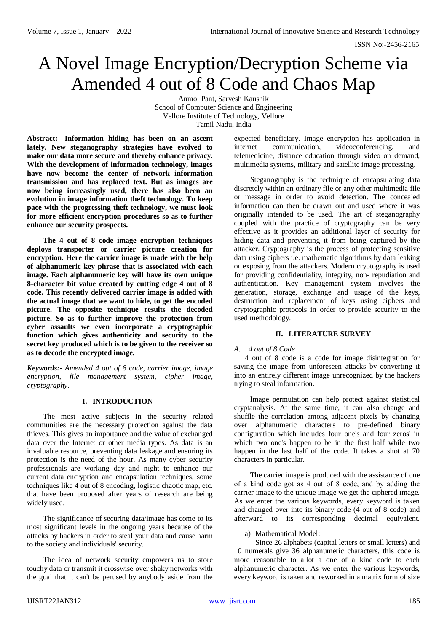# A Novel Image Encryption/Decryption Scheme via Amended 4 out of 8 Code and Chaos Map

Anmol Pant, Sarvesh Kaushik School of Computer Science and Engineering Vellore Institute of Technology, Vellore Tamil Nadu, India

**Abstract:- Information hiding has been on an ascent lately. New steganography strategies have evolved to make our data more secure and thereby enhance privacy. With the development of information technology, images have now become the center of network information transmission and has replaced text. But as images are now being increasingly used, there has also been an evolution in image information theft technology. To keep pace with the progressing theft technology, we must look for more efficient encryption procedures so as to further enhance our security prospects.**

**The 4 out of 8 code image encryption techniques deploys transporter or carrier picture creation for encryption. Here the carrier image is made with the help of alphanumeric key phrase that is associated with each image. Each alphanumeric key will have its own unique 8-character bit value created by cutting edge 4 out of 8 code. This recently delivered carrier image is added with the actual image that we want to hide, to get the encoded picture. The opposite technique results the decoded picture. So as to further improve the protection from cyber assaults we even incorporate a cryptographic function which gives authenticity and security to the secret key produced which is to be given to the receiver so as to decode the encrypted image.**

*Keywords:- Amended 4 out of 8 code, carrier image, image encryption, file management system, cipher image, cryptography.*

# **I. INTRODUCTION**

The most active subjects in the security related communities are the necessary protection against the data thieves. This gives an importance and the value of exchanged data over the Internet or other media types. As data is an invaluable resource, preventing data leakage and ensuring its protection is the need of the hour. As many cyber security professionals are working day and night to enhance our current data encryption and encapsulation techniques, some techniques like 4 out of 8 encoding, logistic chaotic map, etc. that have been proposed after years of research are being widely used.

The significance of securing data/image has come to its most significant levels in the ongoing years because of the attacks by hackers in order to steal your data and cause harm to the society and individuals' security.

The idea of network security empowers us to store touchy data or transmit it crosswise over shaky networks with the goal that it can't be perused by anybody aside from the expected beneficiary. Image encryption has application in internet communication, videoconferencing, and telemedicine, distance education through video on demand, multimedia systems, military and satellite image processing.

Steganography is the technique of encapsulating data discretely within an ordinary file or any other multimedia file or message in order to avoid detection. The concealed information can then be drawn out and used where it was originally intended to be used. The art of steganography coupled with the practice of cryptography can be very effective as it provides an additional layer of security for hiding data and preventing it from being captured by the attacker. Cryptography is the process of protecting sensitive data using ciphers i.e. mathematic algorithms by data leaking or exposing from the attackers. Modern cryptography is used for providing confidentiality, integrity, non- repudiation and authentication. Key management system involves the generation, storage, exchange and usage of the keys, destruction and replacement of keys using ciphers and cryptographic protocols in order to provide security to the used methodology.

## **II. LITERATURE SURVEY**

#### *A. 4 out of 8 Code*

4 out of 8 code is a code for image disintegration for saving the image from unforeseen attacks by converting it into an entirely different image unrecognized by the hackers trying to steal information.

Image permutation can help protect against statistical cryptanalysis. At the same time, it can also change and shuffle the correlation among adjacent pixels by changing over alphanumeric characters to pre-defined binary configuration which includes four one's and four zeros' in which two one's happen to be in the first half while two happen in the last half of the code. It takes a shot at 70 characters in particular.

The carrier image is produced with the assistance of one of а kind code got as 4 out of 8 code, and by adding the carrier image to the unique image we get the ciphered image. As we enter the various keywords, every keyword is taken and changed over into its binary code (4 out of 8 code) and afterward to its corresponding decimal equivalent.

a) Mathematical Model:

Since 26 alphabets (capital letters or small letters) and 10 numerals give 36 alphanumeric characters, this code is more reasonable to allot a one of a kind code to each alphanumeric character. As we enter the various keywords, every keyword is taken and reworked in a matrix form of size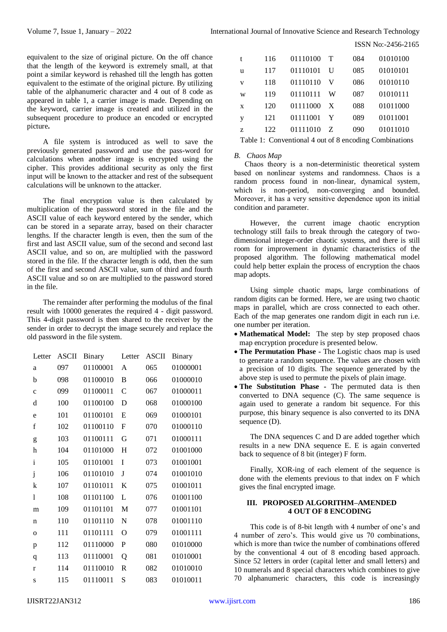equivalent to the size of original picture. On the off chance that the length of the keyword is extremely small, at that point a similar keyword is rehashed till the length has gotten equivalent to the estimate of the original picture. By utilizing table of the alphanumeric character and 4 out of 8 code as appeared in table 1, a carrier image is made. Depending on the keyword, carrier image is created and utilized in the subsequent procedure to produce an encoded or encrypted picture**.** 

A file system is introduced as well to save the previously generated password and use the pass-word for calculations when another image is encrypted using the cipher. This provides additional security as only the first input will be known to the attacker and rest of the subsequent calculations will be unknown to the attacker.

The final encryption value is then calculated by multiplication of the password stored in the file and the ASCII value of each keyword entered by the sender, which can be stored in a separate array, based on their character lengths. If the character length is even, then the sum of the first and last ASCII value, sum of the second and second last ASCII value, and so on, are multiplied with the password stored in the file. If the character length is odd, then the sum of the first and second ASCII value, sum of third and fourth ASCII value and so on are multiplied to the password stored in the file.

The remainder after performing the modulus of the final result with 10000 generates the required 4 - digit password. This 4-digit password is then shared to the receiver by the sender in order to decrypt the image securely and replace the old password in the file system.

| Letter       | <b>ASCII</b> | Binary   | Letter      | ASCII | Binary   |
|--------------|--------------|----------|-------------|-------|----------|
| a            | 097          | 01100001 | A           | 065   | 01000001 |
| b            | 098          | 01100010 | B           | 066   | 01000010 |
| $\mathbf{C}$ | 099          | 01100011 | C           | 067   | 01000011 |
| d            | 100          | 01100100 | D           | 068   | 01000100 |
| e            | 101          | 01100101 | Ε           | 069   | 01000101 |
| $\mathbf f$  | 102          | 01100110 | $\mathbf F$ | 070   | 01000110 |
| g            | 103          | 01100111 | G           | 071   | 01000111 |
| h            | 104          | 01101000 | H           | 072   | 01001000 |
| $\mathbf{i}$ | 105          | 01101001 | T           | 073   | 01001001 |
| j            | 106          | 01101010 | J           | 074   | 01001010 |
| k            | 107          | 01101011 | K           | 075   | 01001011 |
| 1            | 108          | 01101100 | L           | 076   | 01001100 |
| m            | 109          | 01101101 | M           | 077   | 01001101 |
| n            | 110          | 01101110 | N           | 078   | 01001110 |
| $\Omega$     | 111          | 01101111 | O           | 079   | 01001111 |
| p            | 112          | 01110000 | P           | 080   | 01010000 |
| q            | 113          | 01110001 | Q           | 081   | 01010001 |
| $\mathbf{r}$ | 114          | 01110010 | R           | 082   | 01010010 |
| S            | 115          | 01110011 | S           | 083   | 01010011 |

| t | 116 | 01110100 | T | 084 | 01010100 |
|---|-----|----------|---|-----|----------|
| u | 117 | 01110101 | U | 085 | 01010101 |
| v | 118 | 01110110 | V | 086 | 01010110 |
| W | 119 | 01110111 | W | 087 | 01010111 |
| X | 120 | 01111000 | X | 088 | 01011000 |
| у | 121 | 01111001 | Y | 089 | 01011001 |
| z | 122 | 01111010 | Z | 090 | 01011010 |
|   |     |          |   |     |          |

ISSN No:-2456-2165

Table 1: Conventional 4 out of 8 encoding Combinations

#### *B. Chaos Map*

Chaos theory is а non-deterministic theoretical system based on nonlinear systems and randomness. Chaos is а random process found in non-linear, dynamical system, which is non-period, non-converging and bounded. Moreover, it has а very sensitive dependence upon its initial condition and parameter.

However, the current image chaotic encryption technology still fails to break through the category of twodimensional integer-order chaotic systems, and there is still room for improvement in dynamic characteristics of the proposed algorithm. The following mathematical model could help better explain the process of encryption the chaos map adopts.

Using simple chaotic maps, large combinations of random digits can be formed. Here, we are using two chaotic maps in parallel, which are cross connected to each other. Each of the map generates one random digit in each run i.e. one number per iteration.

- Mathematical Model: The step by step proposed chaos map encryption procedure is presented below.
- **The Permutation Phase -** The Logistic chaos map is used to generate a random sequence. The values are chosen with a precision of 10 digits. The sequence generated by the above step is used to permute the pixels of plain image.
- **The Substitution Phase -** The permuted data is then converted to DNA sequence (C). The same sequence is again used to generate a random bit sequence. For this purpose, this binary sequence is also converted to its DNA sequence (D).

The DNA sequences C and D are added together which results in a new DNA sequence E. E is again converted back to sequence of 8 bit (integer) F form.

Finally, XOR-ing of each element of the sequence is done with the elements previous to that index on F which gives the final encrypted image.

#### **III. PROPOSED ALGORITHM–AMENDED 4 OUT OF 8 ENCODING**

This code is of 8-bit length with 4 number of one's and 4 number of zero's. This would give us 70 combinations, which is more than twice the number of combinations offered by the conventional 4 out of 8 encoding based approach. Since 52 letters in order (capital letter and small letters) and 10 numerals and 8 special characters which combines to give 70 alphanumeric characters, this code is increasingly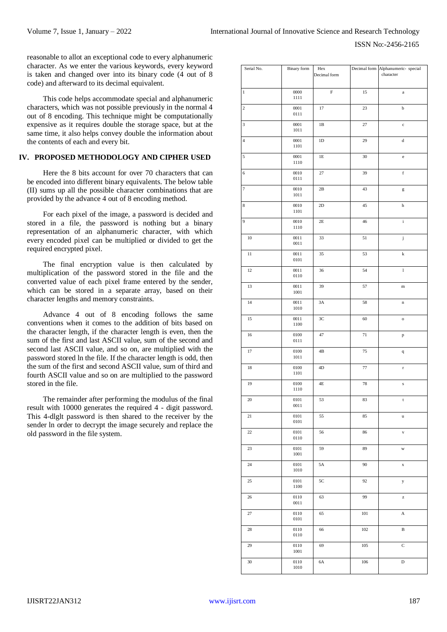reasonable to allot an exceptional code to every alphanumeric character. As we enter the various keywords, every keyword is taken and changed over into its binary code (4 out of 8 code) and afterward to its decimal equivalent.

This code helps accommodate special and alphanumeric characters, which was not possible previously in the normal 4 out of 8 encoding. This technique might be computationally expensive as it requires double the storage space, but at the same time, it also helps convey double the information about the contents of each and every bit.

## **IV. PROPOSED METHODOLOGY AND CIPHER USED**

Here the 8 bits account for over 70 characters that can be encoded into different binary equivalents. The below table (II) sums up all the possible character combinations that are provided by the advance 4 out of 8 encoding method.

For each pixel of the image, a password is decided and stored in a file, the password is nothing but a binary representation of an alphanumeric character, with which every encoded pixel can be multiplied or divided to get the required encrypted pixel.

The final encryption value is then calculated by multiplication of the password stored in the file and the converted value of each pixel frame entered by the sender, which can be stored in a separate array, based on their character lengths and memory constraints.

Advance 4 out of 8 encoding follows the same conventions when it comes to the addition of bits based on the character length, if the character length is even, then the sum of the first and last ASCII value, sum of the second and second last ASCII value, and so on, are multiplied with the password stored ln the file. If the character length is odd, then the sum of the first and second ASCII value, sum of third and fourth ASCII value and so on are multiplied to the password stored in the file.

The remainder after performing the modulus of the final result with 10000 generates the required 4 - digit password. This 4-dlglt password is then shared to the receiver by the sender ln order to decrypt the image securely and replace the old password in the file system.

| Serial No.              | Binary form        | Hex<br>Decimal form |        | Decimal form Alphanumeric- special<br>character |
|-------------------------|--------------------|---------------------|--------|-------------------------------------------------|
| $\mathbf{1}$            | 0000<br>1111       | F                   | 15     | $\rm{a}$                                        |
| $\,2\,$                 | $0001\,$<br>0111   | 17                  | 23     | $\bf b$                                         |
| $\overline{\mathbf{3}}$ | 0001<br>1011       | $1\mathrm{B}$       | 27     | $\mathbf c$                                     |
| $\overline{\mathbf{4}}$ | 0001<br>1101       | $1\mathrm{D}$       | 29     | ${\bf d}$                                       |
| 5                       | 0001<br>1110       | $1\mathrm{E}$       | $30\,$ | $\rm e$                                         |
| 6                       | 0010<br>0111       | 27                  | 39     | $\rm f$                                         |
| 7                       | $0010\,$<br>1011   | $2\mathrm{B}$       | 43     | g                                               |
| $\,$ 8 $\,$             | 0010<br>1101       | 2D                  | 45     | $\,$ h                                          |
| $\overline{9}$          | 0010<br>1110       | $2\mathrm{E}$       | 46     | $\rm i$                                         |
| $10\,$                  | $0011$<br>$0011\,$ | 33                  | 51     | j                                               |
| 11                      | 0011<br>0101       | 35                  | 53     | $\bf k$                                         |
| 12                      | $0011\,$<br>0110   | 36                  | 54     | $\mathbf{l}$                                    |
| 13                      | 0011<br>1001       | 39                  | 57     | ${\bf m}$                                       |
| 14                      | 0011<br>$1010\,$   | 3A                  | 58     | $\mathbf n$                                     |
| 15                      | $0011\,$<br>1100   | 3C                  | $60\,$ | $\mathbf{o}$                                    |
| 16                      | 0100<br>0111       | 47                  | 71     | $\, {\bf p}$                                    |
| 17                      | 0100<br>1011       | $4\mathrm{B}$       | 75     | $\bf q$                                         |
| 18                      | 0100<br>1101       | 4D                  | 77     | $\bf r$                                         |
| 19                      | 0100<br>1110       | 4E                  | 78     | S                                               |
| 20                      | 0101<br>0011       | 53                  | 83     | $\mathbf t$                                     |
| 21                      | 0101<br>0101       | 55                  | 85     | u                                               |
| 22                      | 0101<br>0110       | 56                  | 86     | $\mathbf{v}$                                    |
| 23                      | 0101<br>1001       | 59                  | 89     | W                                               |
| 24                      | 0101<br>1010       | 5A                  | 90     | $\mathbf x$                                     |
| 25                      | 0101<br>1100       | 5C                  | 92     | у                                               |
| 26                      | 0110<br>0011       | 63                  | 99     | z                                               |
| 27                      | 0110<br>0101       | 65                  | 101    | A                                               |
| 28                      | 0110<br>0110       | 66                  | 102    | B                                               |
| 29                      | 0110<br>$1001\,$   | 69                  | 105    | $\mathsf{C}$                                    |
| 30                      | 0110<br>1010       | 6A                  | 106    | D                                               |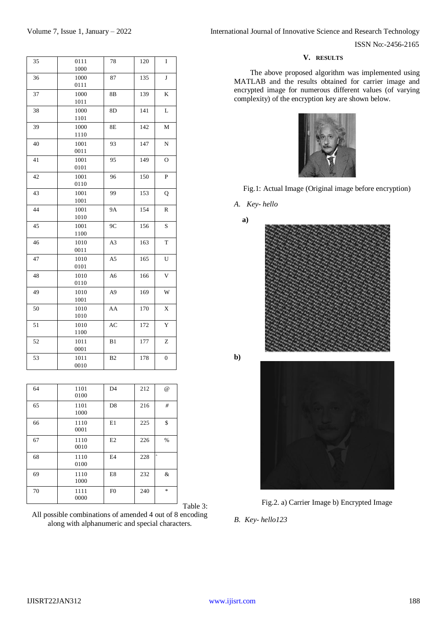## **V. RESULTS**

The above proposed algorithm was implemented using MATLAB and the results obtained for carrier image and encrypted image for numerous different values (of varying complexity) of the encryption key are shown below.









**b)**





*B. Key- hello123*

| $\bf J$<br>36<br>1000<br>135<br>87<br>0111<br>37<br>1000<br>139<br>K<br>8B<br>1011<br>38<br>141<br>1000<br>8D<br>L<br>1101<br>39<br>1000<br>8E<br>142<br>M<br>1110<br>40<br>1001<br>93<br>147<br>N<br>0011<br>1001<br>149<br>41<br>95<br>O<br>0101<br>$\mathbf{P}$<br>42<br>1001<br>150<br>96<br>0110<br>43<br>1001<br>99<br>153<br>Q<br>1001<br>44<br>1001<br><b>9A</b><br>154<br>${\mathbb R}$<br>1010<br>45<br>1001<br>9C<br>S<br>156<br>1100<br>T<br>46<br>1010<br>A <sub>3</sub><br>163<br>0011<br>47<br>1010<br>U<br>A <sub>5</sub><br>165<br>0101<br>48<br>1010<br>166<br>V<br>A6<br>0110<br>49<br>A <sub>9</sub><br>1010<br>169<br>W<br>1001<br>50<br>170<br>X<br>1010<br>AA<br>1010<br>$\mathbf Y$<br>51<br>1010<br>AC<br>172<br>1100<br>52<br>Z<br>1011<br>B1<br>177<br>0001<br>53<br>1011<br>B2<br>178<br>$\boldsymbol{0}$<br>0010 | 35 | 0111<br>1000 | 78 | 120 | I |
|-----------------------------------------------------------------------------------------------------------------------------------------------------------------------------------------------------------------------------------------------------------------------------------------------------------------------------------------------------------------------------------------------------------------------------------------------------------------------------------------------------------------------------------------------------------------------------------------------------------------------------------------------------------------------------------------------------------------------------------------------------------------------------------------------------------------------------------------------|----|--------------|----|-----|---|
|                                                                                                                                                                                                                                                                                                                                                                                                                                                                                                                                                                                                                                                                                                                                                                                                                                               |    |              |    |     |   |
|                                                                                                                                                                                                                                                                                                                                                                                                                                                                                                                                                                                                                                                                                                                                                                                                                                               |    |              |    |     |   |
|                                                                                                                                                                                                                                                                                                                                                                                                                                                                                                                                                                                                                                                                                                                                                                                                                                               |    |              |    |     |   |
|                                                                                                                                                                                                                                                                                                                                                                                                                                                                                                                                                                                                                                                                                                                                                                                                                                               |    |              |    |     |   |
|                                                                                                                                                                                                                                                                                                                                                                                                                                                                                                                                                                                                                                                                                                                                                                                                                                               |    |              |    |     |   |
|                                                                                                                                                                                                                                                                                                                                                                                                                                                                                                                                                                                                                                                                                                                                                                                                                                               |    |              |    |     |   |
|                                                                                                                                                                                                                                                                                                                                                                                                                                                                                                                                                                                                                                                                                                                                                                                                                                               |    |              |    |     |   |
|                                                                                                                                                                                                                                                                                                                                                                                                                                                                                                                                                                                                                                                                                                                                                                                                                                               |    |              |    |     |   |
|                                                                                                                                                                                                                                                                                                                                                                                                                                                                                                                                                                                                                                                                                                                                                                                                                                               |    |              |    |     |   |
|                                                                                                                                                                                                                                                                                                                                                                                                                                                                                                                                                                                                                                                                                                                                                                                                                                               |    |              |    |     |   |
|                                                                                                                                                                                                                                                                                                                                                                                                                                                                                                                                                                                                                                                                                                                                                                                                                                               |    |              |    |     |   |
|                                                                                                                                                                                                                                                                                                                                                                                                                                                                                                                                                                                                                                                                                                                                                                                                                                               |    |              |    |     |   |
|                                                                                                                                                                                                                                                                                                                                                                                                                                                                                                                                                                                                                                                                                                                                                                                                                                               |    |              |    |     |   |
|                                                                                                                                                                                                                                                                                                                                                                                                                                                                                                                                                                                                                                                                                                                                                                                                                                               |    |              |    |     |   |
|                                                                                                                                                                                                                                                                                                                                                                                                                                                                                                                                                                                                                                                                                                                                                                                                                                               |    |              |    |     |   |
|                                                                                                                                                                                                                                                                                                                                                                                                                                                                                                                                                                                                                                                                                                                                                                                                                                               |    |              |    |     |   |
|                                                                                                                                                                                                                                                                                                                                                                                                                                                                                                                                                                                                                                                                                                                                                                                                                                               |    |              |    |     |   |
|                                                                                                                                                                                                                                                                                                                                                                                                                                                                                                                                                                                                                                                                                                                                                                                                                                               |    |              |    |     |   |

| 64 | 1101<br>0100 | D <sub>4</sub> | 212 | $\omega$      |
|----|--------------|----------------|-----|---------------|
| 65 | 1101<br>1000 | D <sub>8</sub> | 216 | #             |
| 66 | 1110<br>0001 | E1             | 225 | \$            |
| 67 | 1110<br>0010 | E2             | 226 | %             |
| 68 | 1110<br>0100 | E <sub>4</sub> | 228 |               |
| 69 | 1110<br>1000 | E8             | 232 | &             |
| 70 | 1111<br>0000 | F <sub>0</sub> | 240 | $\frac{1}{2}$ |

Table 3:

All possible combinations of amended 4 out of 8 encoding along with alphanumeric and special characters.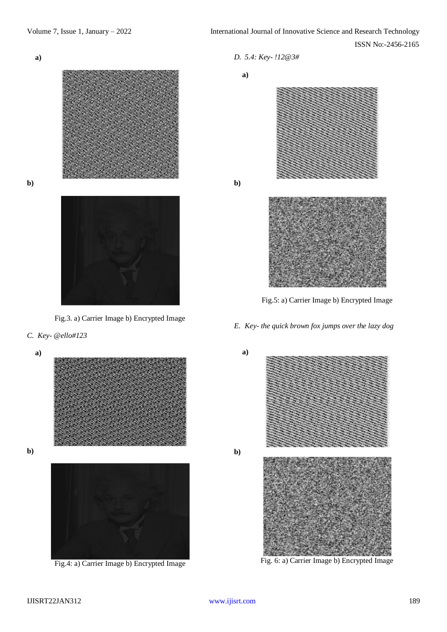



**b)**





# *C. Key- @ello#123*

**a)**

**b)**



Fig.4: a) Carrier Image b) Encrypted Image

*D. 5.4: Key- !12@3#*

**a)**

**b)**



Fig.5: a) Carrier Image b) Encrypted Image

*E. Key- the quick brown fox jumps over the lazy dog* 



Fig. 6: a) Carrier Image b) Encrypted Image

**b)**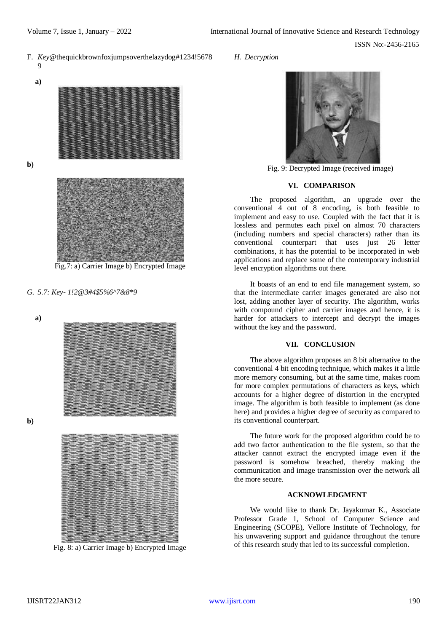F. *Key*@thequickbrownfoxjumpsoverthelazydog#1234!5678 9

**a)**



**b)**



Fig.7: a) Carrier Image b) Encrypted Image

*G. 5.7: Key- 1!2@3#4\$5%6^7&8\*9*

**a)**



**b)**



Fig. 8: a) Carrier Image b) Encrypted Image

*H. Decryption*



Fig. 9: Decrypted Image (received image)

#### **VI. COMPARISON**

The proposed algorithm, an upgrade over the conventional 4 out of 8 encoding, is both feasible to implement and easy to use. Coupled with the fact that it is lossless and permutes each pixel on almost 70 characters (including numbers and special characters) rather than its conventional counterpart that uses just 26 letter combinations, it has the potential to be incorporated in web applications and replace some of the contemporary industrial level encryption algorithms out there.

It boasts of an end to end file management system, so that the intermediate carrier images generated are also not lost, adding another layer of security. The algorithm, works with compound cipher and carrier images and hence, it is harder for attackers to intercept and decrypt the images without the key and the password.

## **VII. CONCLUSION**

The above algorithm proposes an 8 bit alternative to the conventional 4 bit encoding technique, which makes it a little more memory consuming, but at the same time, makes room for more complex permutations of characters as keys, which accounts for a higher degree of distortion in the encrypted image. The algorithm is both feasible to implement (as done here) and provides a higher degree of security as compared to its conventional counterpart.

The future work for the proposed algorithm could be to add two factor authentication to the file system, so that the attacker cannot extract the encrypted image even if the password is somehow breached, thereby making the communication and image transmission over the network all the more secure.

## **ACKNOWLEDGMENT**

We would like to thank Dr. Jayakumar K., Associate Professor Grade 1, School of Computer Science and Engineering (SCOPE), Vellore Institute of Technology, for his unwavering support and guidance throughout the tenure of this research study that led to its successful completion.